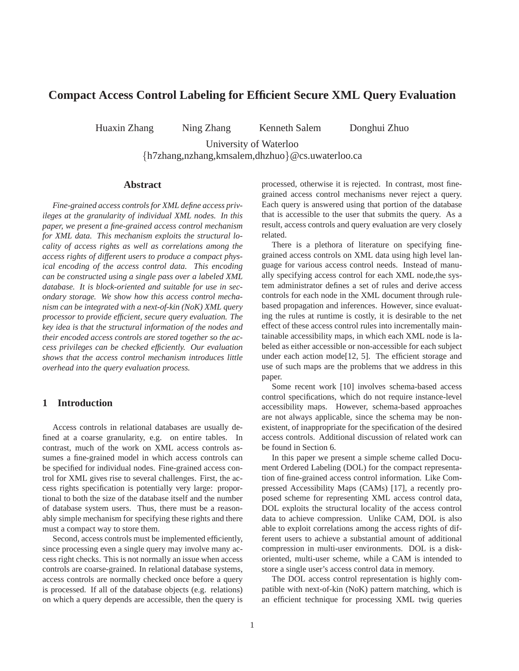# **Compact Access Control Labeling for Efficient Secure XML Query Evaluation**

Huaxin Zhang Ning Zhang Kenneth Salem Donghui Zhuo

University of Waterloo

{h7zhang,nzhang,kmsalem,dhzhuo}@cs.uwaterloo.ca

## **Abstract**

*Fine-grained access controls for XML define access privileges at the granularity of individual XML nodes. In this paper, we present a fine-grained access control mechanism for XML data. This mechanism exploits the structural locality of access rights as well as correlations among the access rights of different users to produce a compact physical encoding of the access control data. This encoding can be constructed using a single pass over a labeled XML database. It is block-oriented and suitable for use in secondary storage. We show how this access control mechanism can be integrated with a next-of-kin (NoK) XML query processor to provide efficient, secure query evaluation. The key idea is that the structural information of the nodes and their encoded access controls are stored together so the access privileges can be checked efficiently. Our evaluation shows that the access control mechanism introduces little overhead into the query evaluation process.*

# **1 Introduction**

Access controls in relational databases are usually defined at a coarse granularity, e.g. on entire tables. In contrast, much of the work on XML access controls assumes a fine-grained model in which access controls can be specified for individual nodes. Fine-grained access control for XML gives rise to several challenges. First, the access rights specification is potentially very large: proportional to both the size of the database itself and the number of database system users. Thus, there must be a reasonably simple mechanism for specifying these rights and there must a compact way to store them.

Second, access controls must be implemented efficiently, since processing even a single query may involve many access right checks. This is not normally an issue when access controls are coarse-grained. In relational database systems, access controls are normally checked once before a query is processed. If all of the database objects (e.g. relations) on which a query depends are accessible, then the query is processed, otherwise it is rejected. In contrast, most finegrained access control mechanisms never reject a query. Each query is answered using that portion of the database that is accessible to the user that submits the query. As a result, access controls and query evaluation are very closely related.

There is a plethora of literature on specifying finegrained access controls on XML data using high level language for various access control needs. Instead of manually specifying access control for each XML node,the system administrator defines a set of rules and derive access controls for each node in the XML document through rulebased propagation and inferences. However, since evaluating the rules at runtime is costly, it is desirable to the net effect of these access control rules into incrementally maintainable accessibility maps, in which each XML node is labeled as either accessible or non-accessible for each subject under each action mode[12, 5]. The efficient storage and use of such maps are the problems that we address in this paper.

Some recent work [10] involves schema-based access control specifications, which do not require instance-level accessibility maps. However, schema-based approaches are not always applicable, since the schema may be nonexistent, of inappropriate for the specification of the desired access controls. Additional discussion of related work can be found in Section 6.

In this paper we present a simple scheme called Document Ordered Labeling (DOL) for the compact representation of fine-grained access control information. Like Compressed Accessibility Maps (CAMs) [17], a recently proposed scheme for representing XML access control data, DOL exploits the structural locality of the access control data to achieve compression. Unlike CAM, DOL is also able to exploit correlations among the access rights of different users to achieve a substantial amount of additional compression in multi-user environments. DOL is a diskoriented, multi-user scheme, while a CAM is intended to store a single user's access control data in memory.

The DOL access control representation is highly compatible with next-of-kin (NoK) pattern matching, which is an efficient technique for processing XML twig queries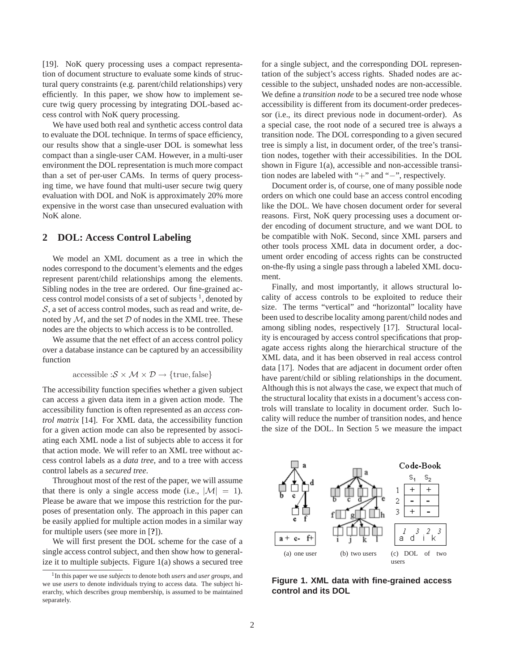[19]. NoK query processing uses a compact representation of document structure to evaluate some kinds of structural query constraints (e.g. parent/child relationships) very efficiently. In this paper, we show how to implement secure twig query processing by integrating DOL-based access control with NoK query processing.

We have used both real and synthetic access control data to evaluate the DOL technique. In terms of space efficiency, our results show that a single-user DOL is somewhat less compact than a single-user CAM. However, in a multi-user environment the DOL representation is much more compact than a set of per-user CAMs. In terms of query processing time, we have found that multi-user secure twig query evaluation with DOL and NoK is approximately 20% more expensive in the worst case than unsecured evaluation with NoK alone.

# **2 DOL: Access Control Labeling**

We model an XML document as a tree in which the nodes correspond to the document's elements and the edges represent parent/child relationships among the elements. Sibling nodes in the tree are ordered. Our fine-grained access control model consists of a set of subjects  $<sup>1</sup>$ , denoted by</sup> S, a set of access control modes, such as read and write, denoted by  $M$ , and the set  $D$  of nodes in the XML tree. These nodes are the objects to which access is to be controlled.

We assume that the net effect of an access control policy over a database instance can be captured by an accessibility function

accessible : $S \times M \times D \rightarrow \{true, false\}$ 

The accessibility function specifies whether a given subject can access a given data item in a given action mode. The accessibility function is often represented as an *access control matrix* [14]. For XML data, the accessibility function for a given action mode can also be represented by associating each XML node a list of subjects able to access it for that action mode. We will refer to an XML tree without access control labels as a *data tree*, and to a tree with access control labels as a *secured tree*.

Throughout most of the rest of the paper, we will assume that there is only a single access mode (i.e.,  $|\mathcal{M}| = 1$ ). Please be aware that we impose this restriction for the purposes of presentation only. The approach in this paper can be easily applied for multiple action modes in a similar way for multiple users (see more in [**?**]).

We will first present the DOL scheme for the case of a single access control subject, and then show how to generalize it to multiple subjects. Figure 1(a) shows a secured tree

for a single subject, and the corresponding DOL representation of the subject's access rights. Shaded nodes are accessible to the subject, unshaded nodes are non-accessible. We define a *transition node* to be a secured tree node whose accessibility is different from its document-order predecessor (i.e., its direct previous node in document-order). As a special case, the root node of a secured tree is always a transition node. The DOL corresponding to a given secured tree is simply a list, in document order, of the tree's transition nodes, together with their accessibilities. In the DOL shown in Figure 1(a), accessible and non-accessible transition nodes are labeled with "+" and "−", respectively.

Document order is, of course, one of many possible node orders on which one could base an access control encoding like the DOL. We have chosen document order for several reasons. First, NoK query processing uses a document order encoding of document structure, and we want DOL to be compatible with NoK. Second, since XML parsers and other tools process XML data in document order, a document order encoding of access rights can be constructed on-the-fly using a single pass through a labeled XML document.

Finally, and most importantly, it allows structural locality of access controls to be exploited to reduce their size. The terms "vertical" and "horizontal" locality have been used to describe locality among parent/child nodes and among sibling nodes, respectively [17]. Structural locality is encouraged by access control specifications that propagate access rights along the hierarchical structure of the XML data, and it has been observed in real access control data [17]. Nodes that are adjacent in document order often have parent/child or sibling relationships in the document. Although this is not always the case, we expect that much of the structural locality that exists in a document's access controls will translate to locality in document order. Such locality will reduce the number of transition nodes, and hence the size of the DOL. In Section 5 we measure the impact



**Figure 1. XML data with fine-grained access control and its DOL**

<sup>1</sup>In this paper we use *subjects* to denote both *users* and *user groups*, and we use *users* to denote individuals trying to access data. The subject hierarchy, which describes group membership, is assumed to be maintained separately.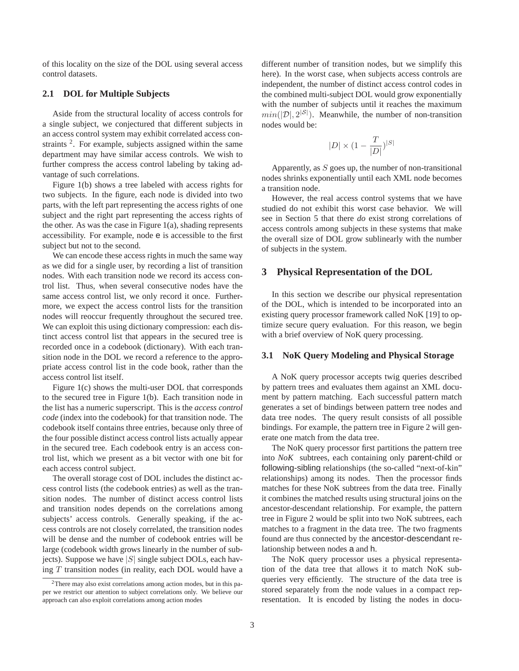of this locality on the size of the DOL using several access control datasets.

### **2.1 DOL for Multiple Subjects**

Aside from the structural locality of access controls for a single subject, we conjectured that different subjects in an access control system may exhibit correlated access constraints  $2$ . For example, subjects assigned within the same department may have similar access controls. We wish to further compress the access control labeling by taking advantage of such correlations.

Figure 1(b) shows a tree labeled with access rights for two subjects. In the figure, each node is divided into two parts, with the left part representing the access rights of one subject and the right part representing the access rights of the other. As was the case in Figure  $1(a)$ , shading represents accessibility. For example, node e is accessible to the first subject but not to the second.

We can encode these access rights in much the same way as we did for a single user, by recording a list of transition nodes. With each transition node we record its access control list. Thus, when several consecutive nodes have the same access control list, we only record it once. Furthermore, we expect the access control lists for the transition nodes will reoccur frequently throughout the secured tree. We can exploit this using dictionary compression: each distinct access control list that appears in the secured tree is recorded once in a codebook (dictionary). With each transition node in the DOL we record a reference to the appropriate access control list in the code book, rather than the access control list itself.

Figure 1(c) shows the multi-user DOL that corresponds to the secured tree in Figure 1(b). Each transition node in the list has a numeric superscript. This is the *access control code* (index into the codebook) for that transition node. The codebook itself contains three entries, because only three of the four possible distinct access control lists actually appear in the secured tree. Each codebook entry is an access control list, which we present as a bit vector with one bit for each access control subject.

The overall storage cost of DOL includes the distinct access control lists (the codebook entries) as well as the transition nodes. The number of distinct access control lists and transition nodes depends on the correlations among subjects' access controls. Generally speaking, if the access controls are not closely correlated, the transition nodes will be dense and the number of codebook entries will be large (codebook width grows linearly in the number of subjects). Suppose we have  $|S|$  single subject DOLs, each having  $T$  transition nodes (in reality, each DOL would have a different number of transition nodes, but we simplify this here). In the worst case, when subjects access controls are independent, the number of distinct access control codes in the combined multi-subject DOL would grow exponentially with the number of subjects until it reaches the maximum  $min(|\mathcal{D}|, 2^{|\mathcal{S}|})$ . Meanwhile, the number of non-transition nodes would be:

$$
|D|\times (1-\frac{T}{|D|})^{|S|}
$$

Apparently, as  $S$  goes up, the number of non-transitional nodes shrinks exponentially until each XML node becomes a transition node.

However, the real access control systems that we have studied do not exhibit this worst case behavior. We will see in Section 5 that there *do* exist strong correlations of access controls among subjects in these systems that make the overall size of DOL grow sublinearly with the number of subjects in the system.

### **3 Physical Representation of the DOL**

In this section we describe our physical representation of the DOL, which is intended to be incorporated into an existing query processor framework called NoK [19] to optimize secure query evaluation. For this reason, we begin with a brief overview of NoK query processing.

### **3.1 NoK Query Modeling and Physical Storage**

A NoK query processor accepts twig queries described by pattern trees and evaluates them against an XML document by pattern matching. Each successful pattern match generates a set of bindings between pattern tree nodes and data tree nodes. The query result consists of all possible bindings. For example, the pattern tree in Figure 2 will generate one match from the data tree.

The NoK query processor first partitions the pattern tree into *NoK* subtrees, each containing only parent-child or following-sibling relationships (the so-called "next-of-kin" relationships) among its nodes. Then the processor finds matches for these NoK subtrees from the data tree. Finally it combines the matched results using structural joins on the ancestor-descendant relationship. For example, the pattern tree in Figure 2 would be split into two NoK subtrees, each matches to a fragment in the data tree. The two fragments found are thus connected by the ancestor-descendant relationship between nodes a and h.

The NoK query processor uses a physical representation of the data tree that allows it to match NoK subqueries very efficiently. The structure of the data tree is stored separately from the node values in a compact representation. It is encoded by listing the nodes in docu-

<sup>&</sup>lt;sup>2</sup>There may also exist correlations among action modes, but in this paper we restrict our attention to subject correlations only. We believe our approach can also exploit correlations among action modes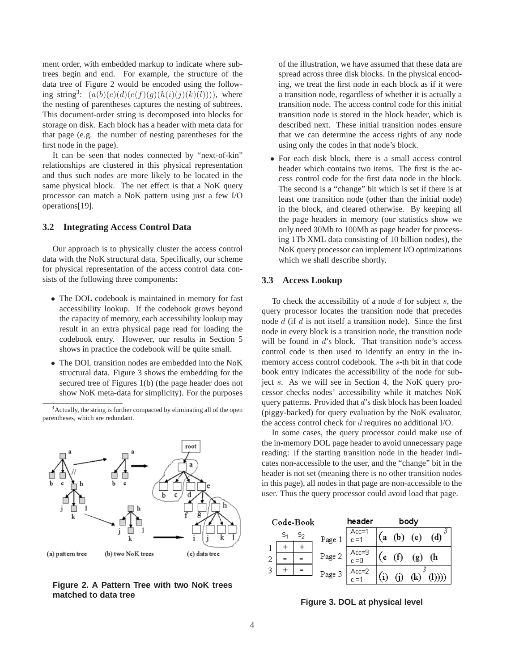ment order, with embedded markup to indicate where subtrees begin and end. For example, the structure of the data tree of Figure 2 would be encoded using the following string<sup>3</sup>:  $(a(b)(c)(d)(e(f)(g)(h(i)(j)(k)(l))))$ , where the nesting of parentheses captures the nesting of subtrees. This document-order string is decomposed into blocks for storage on disk. Each block has a header with meta data for that page (e.g. the number of nesting parentheses for the first node in the page).

It can be seen that nodes connected by "next-of-kin" relationships are clustered in this physical representation and thus such nodes are more likely to be located in the same physical block. The net effect is that a NoK query processor can match a NoK pattern using just a few I/O operations[19].

#### **3.2 Integrating Access Control Data**

Our approach is to physically cluster the access control data with the NoK structural data. Specifically, our scheme for physical representation of the access control data consists of the following three components:

- The DOL codebook is maintained in memory for fast accessibility lookup. If the codebook grows beyond the capacity of memory, each accessibility lookup may result in an extra physical page read for loading the codebook entry. However, our results in Section 5 shows in practice the codebook will be quite small.
- The DOL transition nodes are embedded into the NoK structural data. Figure 3 shows the embedding for the secured tree of Figures 1(b) (the page header does not show NoK meta-data for simplicity). For the purposes

<sup>3</sup>Actually, the string is further compacted by eliminating all of the open parentheses, which are redundant.



**Figure 2. A Pattern Tree with two NoK trees matched to data tree**

of the illustration, we have assumed that these data are spread across three disk blocks. In the physical encoding, we treat the first node in each block as if it were a transition node, regardless of whether it is actually a transition node. The access control code for this initial transition node is stored in the block header, which is described next. These initial transition nodes ensure that we can determine the access rights of any node using only the codes in that node's block.

• For each disk block, there is a small access control header which contains two items. The first is the access control code for the first data node in the block. The second is a "change" bit which is set if there is at least one transition node (other than the initial node) in the block, and cleared otherwise. By keeping all the page headers in memory (our statistics show we only need 30Mb to 100Mb as page header for processing 1Tb XML data consisting of 10 billion nodes), the NoK query processor can implement I/O optimizations which we shall describe shortly.

### **3.3 Access Lookup**

To check the accessibility of a node  $d$  for subject  $s$ , the query processor locates the transition node that precedes node  $d$  (if  $d$  is not itself a transition node). Since the first node in every block is a transition node, the transition node will be found in d's block. That transition node's access control code is then used to identify an entry in the inmemory access control codebook. The s-th bit in that code book entry indicates the accessibility of the node for subject s. As we will see in Section 4, the NoK query processor checks nodes' accessibility while it matches NoK query patterns. Provided that d's disk block has been loaded (piggy-backed) for query evaluation by the NoK evaluator, the access control check for d requires no additional I/O.

In some cases, the query processor could make use of the in-memory DOL page header to avoid unnecessary page reading: if the starting transition node in the header indicates non-accessible to the user, and the "change" bit in the header is not set (meaning there is no other transition nodes in this page), all nodes in that page are non-accessible to the user. Thus the query processor could avoid load that page.



**Figure 3. DOL at physical level**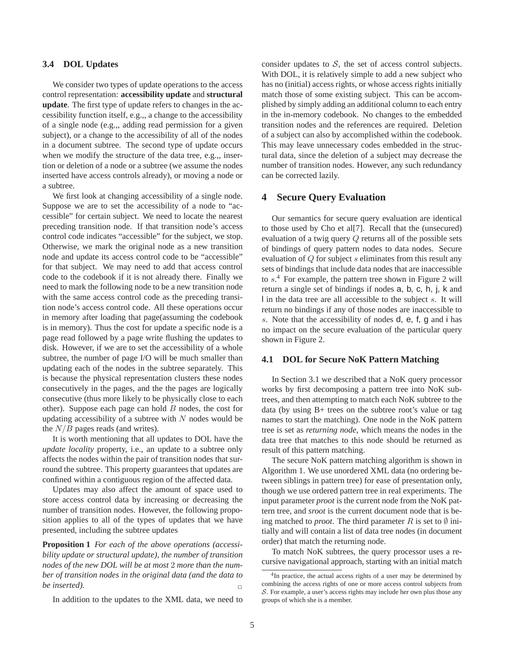### **3.4 DOL Updates**

We consider two types of update operations to the access control representation: **accessibility update** and **structural update**. The first type of update refers to changes in the accessibility function itself, e.g.,, a change to the accessibility of a single node (e.g.,, adding read permission for a given subject), or a change to the accessibility of all of the nodes in a document subtree. The second type of update occurs when we modify the structure of the data tree, e.g.,, insertion or deletion of a node or a subtree (we assume the nodes inserted have access controls already), or moving a node or a subtree.

We first look at changing accessibility of a single node. Suppose we are to set the accessibility of a node to "accessible" for certain subject. We need to locate the nearest preceding transition node. If that transition node's access control code indicates "accessible" for the subject, we stop. Otherwise, we mark the original node as a new transition node and update its access control code to be "accessible" for that subject. We may need to add that access control code to the codebook if it is not already there. Finally we need to mark the following node to be a new transition node with the same access control code as the preceding transition node's access control code. All these operations occur in memory after loading that page(assuming the codebook is in memory). Thus the cost for update a specific node is a page read followed by a page write flushing the updates to disk. However, if we are to set the accessibility of a whole subtree, the number of page I/O will be much smaller than updating each of the nodes in the subtree separately. This is because the physical representation clusters these nodes consecutively in the pages, and the the pages are logically consecutive (thus more likely to be physically close to each other). Suppose each page can hold  $B$  nodes, the cost for updating accessibility of a subtree with  $N$  nodes would be the  $N/B$  pages reads (and writes).

It is worth mentioning that all updates to DOL have the *update locality* property, i.e., an update to a subtree only affects the nodes within the pair of transition nodes that surround the subtree. This property guarantees that updates are confined within a contiguous region of the affected data.

Updates may also affect the amount of space used to store access control data by increasing or decreasing the number of transition nodes. However, the following proposition applies to all of the types of updates that we have presented, including the subtree updates

**Proposition 1** *For each of the above operations (accessibility update or structural update), the number of transition nodes of the new DOL will be at most* 2 *more than the number of transition nodes in the original data (and the data to be inserted*).

In addition to the updates to the XML data, we need to

consider updates to  $S$ , the set of access control subjects. With DOL, it is relatively simple to add a new subject who has no (initial) access rights, or whose access rights initially match those of some existing subject. This can be accomplished by simply adding an additional column to each entry in the in-memory codebook. No changes to the embedded transition nodes and the references are required. Deletion of a subject can also by accomplished within the codebook. This may leave unnecessary codes embedded in the structural data, since the deletion of a subject may decrease the number of transition nodes. However, any such redundancy can be corrected lazily.

### **4 Secure Query Evaluation**

Our semantics for secure query evaluation are identical to those used by Cho et al[7]. Recall that the (unsecured) evaluation of a twig query Q returns all of the possible sets of bindings of query pattern nodes to data nodes. Secure evaluation of Q for subject s eliminates from this result any sets of bindings that include data nodes that are inaccessible to  $s<sup>4</sup>$ . For example, the pattern tree shown in Figure 2 will return a single set of bindings if nodes a, b, c, h, j, k and l in the data tree are all accessible to the subject s. It will return no bindings if any of those nodes are inaccessible to s. Note that the accessibility of nodes d, e, f, g and i has no impact on the secure evaluation of the particular query shown in Figure 2.

#### **4.1 DOL for Secure NoK Pattern Matching**

In Section 3.1 we described that a NoK query processor works by first decomposing a pattern tree into NoK subtrees, and then attempting to match each NoK subtree to the data (by using B+ trees on the subtree root's value or tag names to start the matching). One node in the NoK pattern tree is set as *returning node*, which means the nodes in the data tree that matches to this node should be returned as result of this pattern matching.

The secure NoK pattern matching algorithm is shown in Algorithm 1. We use unordered XML data (no ordering between siblings in pattern tree) for ease of presentation only, though we use ordered pattern tree in real experiments. The input parameter *proot* is the current node from the NoK pattern tree, and *sroot* is the current document node that is being matched to *proot*. The third parameter R is set to  $\emptyset$  initially and will contain a list of data tree nodes (in document order) that match the returning node.

To match NoK subtrees, the query processor uses a recursive navigational approach, starting with an initial match

<sup>&</sup>lt;sup>4</sup>In practice, the actual access rights of a user may be determined by combining the access rights of one or more access control subjects from *S*. For example, a user's access rights may include her own plus those any groups of which she is a member.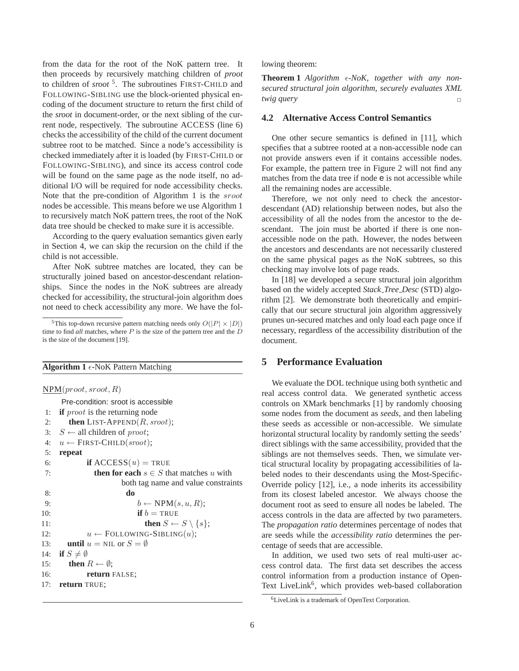from the data for the root of the NoK pattern tree. It then proceeds by recursively matching children of *proot* to children of *sroot* 5. The subroutines FIRST-CHILD and FOLLOWING-SIBLING use the block-oriented physical encoding of the document structure to return the first child of the *sroot* in document-order, or the next sibling of the current node, respectively. The subroutine ACCESS (line 6) checks the accessibility of the child of the current document subtree root to be matched. Since a node's accessibility is checked immediately after it is loaded (by FIRST-CHILD or FOLLOWING-SIBLING), and since its access control code will be found on the same page as the node itself, no additional I/O will be required for node accessibility checks. Note that the pre-condition of Algorithm 1 is the sroot nodes be accessible. This means before we use Algorithm 1 to recursively match NoK pattern trees, the root of the NoK data tree should be checked to make sure it is accessible.

According to the query evaluation semantics given early in Section 4, we can skip the recursion on the child if the child is not accessible.

After NoK subtree matches are located, they can be structurally joined based on ancestor-descendant relationships. Since the nodes in the NoK subtrees are already checked for accessibility, the structural-join algorithm does not need to check accessibility any more. We have the fol-

**Algorithm 1**  $\epsilon$ -NoK Pattern Matching

 $NPM(prot, groot, R)$ 

Pre-condition: sroot is accessible

| 1:  | <b>if</b> <i>proot</i> is the returning node       |
|-----|----------------------------------------------------|
| 2:  | <b>then</b> LIST-APPEND $(R, sroot);$              |
|     | 3: $S \leftarrow$ all children of <i>proot</i> ;   |
| 4:  | $u \leftarrow$ FIRST-CHILD(sroot);                 |
| 5:  | repeat                                             |
| 6:  | <b>if</b> $\text{ACCESS}(u) = \text{TRUE}$         |
| 7:  | <b>then for each</b> $s \in S$ that matches u with |
|     | both tag name and value constraints                |
| 8:  | do                                                 |
| 9:  | $b \leftarrow \text{NPM}(s, u, R);$                |
| 10: | <b>if</b> $b = \text{TRUE}$                        |
| 11: | then $S \leftarrow S \setminus \{s\};$             |
| 12: | $u \leftarrow$ FOLLOWING-SIBLING(u);               |
| 13: | <b>until</b> $u = \text{NIL}$ or $S = \emptyset$   |
| 14: | if $S \neq \emptyset$                              |
| 15: | then $R \leftarrow \emptyset$ ;                    |
| 16: | return FALSE;                                      |
| 17: | return TRUE;                                       |
|     |                                                    |

lowing theorem:

**Theorem 1** *Algorithm*  $\epsilon$ *-NoK, together with any nonsecured structural join algorithm, securely evaluates XML twig query*  $\Box$ 

#### **4.2 Alternative Access Control Semantics**

One other secure semantics is defined in [11], which specifies that a subtree rooted at a non-accessible node can not provide answers even if it contains accessible nodes. For example, the pattern tree in Figure 2 will not find any matches from the data tree if node  $e$  is not accessible while all the remaining nodes are accessible.

Therefore, we not only need to check the ancestordescendant (AD) relationship between nodes, but also the accessibility of all the nodes from the ancestor to the descendant. The join must be aborted if there is one nonaccessible node on the path. However, the nodes between the ancestors and descendants are not necessarily clustered on the same physical pages as the NoK subtrees, so this checking may involve lots of page reads.

In [18] we developed a secure structural join algorithm based on the widely accepted *Stack Tree Desc* (STD) algorithm [2]. We demonstrate both theoretically and empirically that our secure structural join algorithm aggressively prunes un-secured matches and only load each page once if necessary, regardless of the accessibility distribution of the document.

### **5 Performance Evaluation**

We evaluate the DOL technique using both synthetic and real access control data. We generated synthetic access controls on XMark benchmarks [1] by randomly choosing some nodes from the document as *seeds*, and then labeling these seeds as accessible or non-accessible. We simulate horizontal structural locality by randomly setting the seeds' direct siblings with the same accessibility, provided that the siblings are not themselves seeds. Then, we simulate vertical structural locality by propagating accessibilities of labeled nodes to their descendants using the Most-Specific-Override policy [12], i.e., a node inherits its accessibility from its closest labeled ancestor. We always choose the document root as seed to ensure all nodes be labeled. The access controls in the data are affected by two parameters. The *propagation ratio* determines percentage of nodes that are seeds while the *accessibility ratio* determines the percentage of seeds that are accessible.

In addition, we used two sets of real multi-user access control data. The first data set describes the access control information from a production instance of Open-Text LiveLink<sup>6</sup>, which provides web-based collaboration

<sup>&</sup>lt;sup>5</sup>This top-down recursive pattern matching needs only  $O(|P| \times |D|)$ time to find *all* matches, where *P* is the size of the pattern tree and the *D* is the size of the document [19].

<sup>6</sup>LiveLink is a trademark of OpenText Corporation.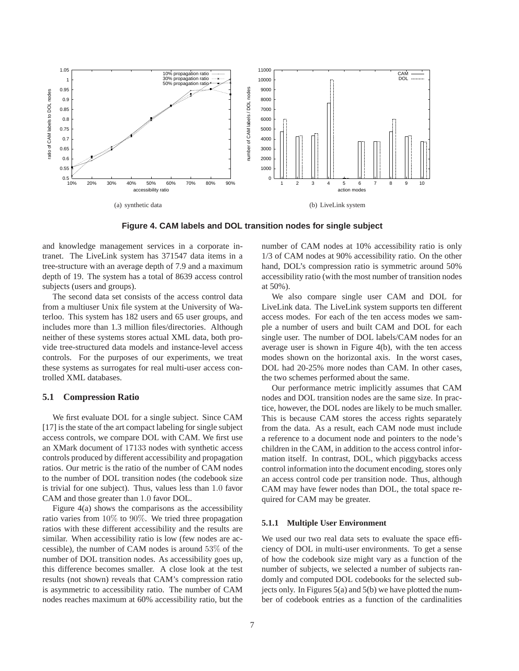

**Figure 4. CAM labels and DOL transition nodes for single subject**

and knowledge management services in a corporate intranet. The LiveLink system has 371547 data items in a tree-structure with an average depth of 7.9 and a maximum depth of 19. The system has a total of 8639 access control subjects (users and groups).

The second data set consists of the access control data from a multiuser Unix file system at the University of Waterloo. This system has 182 users and 65 user groups, and includes more than 1.3 million files/directories. Although neither of these systems stores actual XML data, both provide tree-structured data models and instance-level access controls. For the purposes of our experiments, we treat these systems as surrogates for real multi-user access controlled XML databases.

#### **5.1 Compression Ratio**

We first evaluate DOL for a single subject. Since CAM [17] is the state of the art compact labeling for single subject access controls, we compare DOL with CAM. We first use an XMark document of 17133 nodes with synthetic access controls produced by different accessibility and propagation ratios. Our metric is the ratio of the number of CAM nodes to the number of DOL transition nodes (the codebook size is trivial for one subject). Thus, values less than 1.0 favor CAM and those greater than 1.0 favor DOL.

Figure 4(a) shows the comparisons as the accessibility ratio varies from 10% to 90%. We tried three propagation ratios with these different accessibility and the results are similar. When accessibility ratio is low (few nodes are accessible), the number of CAM nodes is around 53% of the number of DOL transition nodes. As accessibility goes up, this difference becomes smaller. A close look at the test results (not shown) reveals that CAM's compression ratio is asymmetric to accessibility ratio. The number of CAM nodes reaches maximum at 60% accessibility ratio, but the number of CAM nodes at 10% accessibility ratio is only 1/3 of CAM nodes at 90% accessibility ratio. On the other hand, DOL's compression ratio is symmetric around 50% accessibility ratio (with the most number of transition nodes at 50%).

We also compare single user CAM and DOL for LiveLink data. The LiveLink system supports ten different access modes. For each of the ten access modes we sample a number of users and built CAM and DOL for each single user. The number of DOL labels/CAM nodes for an average user is shown in Figure 4(b), with the ten access modes shown on the horizontal axis. In the worst cases, DOL had 20-25% more nodes than CAM. In other cases, the two schemes performed about the same.

Our performance metric implicitly assumes that CAM nodes and DOL transition nodes are the same size. In practice, however, the DOL nodes are likely to be much smaller. This is because CAM stores the access rights separately from the data. As a result, each CAM node must include a reference to a document node and pointers to the node's children in the CAM, in addition to the access control information itself. In contrast, DOL, which piggybacks access control information into the document encoding, stores only an access control code per transition node. Thus, although CAM may have fewer nodes than DOL, the total space required for CAM may be greater.

#### **5.1.1 Multiple User Environment**

We used our two real data sets to evaluate the space efficiency of DOL in multi-user environments. To get a sense of how the codebook size might vary as a function of the number of subjects, we selected a number of subjects randomly and computed DOL codebooks for the selected subjects only. In Figures 5(a) and 5(b) we have plotted the number of codebook entries as a function of the cardinalities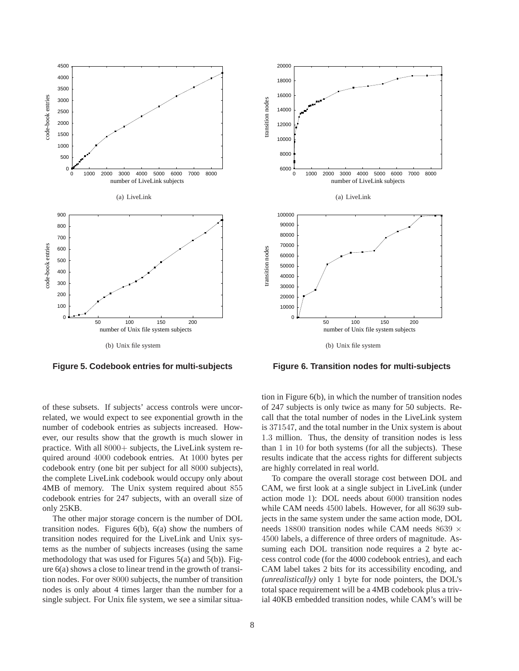

20000 18000 16000 transition nodes transition nodes 14000 12000 10000 8000 6000 0 1000 2000 3000 4000 5000 6000 7000 8000 number of LiveLink subjects (a) LiveLink 100000 90000 80000 70000 transition nodes transition nodes 60000 50000 40000 30000 20000 10000 0 50 100 150 200 number of Unix file system subjects

**Figure 5. Codebook entries for multi-subjects**

**Figure 6. Transition nodes for multi-subjects**

(b) Unix file system

of these subsets. If subjects' access controls were uncorrelated, we would expect to see exponential growth in the number of codebook entries as subjects increased. However, our results show that the growth is much slower in practice. With all 8000+ subjects, the LiveLink system required around 4000 codebook entries. At 1000 bytes per codebook entry (one bit per subject for all 8000 subjects), the complete LiveLink codebook would occupy only about 4MB of memory. The Unix system required about 855 codebook entries for 247 subjects, with an overall size of only 25KB.

The other major storage concern is the number of DOL transition nodes. Figures 6(b), 6(a) show the numbers of transition nodes required for the LiveLink and Unix systems as the number of subjects increases (using the same methodology that was used for Figures 5(a) and 5(b)). Figure 6(a) shows a close to linear trend in the growth of transition nodes. For over 8000 subjects, the number of transition nodes is only about 4 times larger than the number for a single subject. For Unix file system, we see a similar situation in Figure 6(b), in which the number of transition nodes of 247 subjects is only twice as many for 50 subjects. Recall that the total number of nodes in the LiveLink system is 371547, and the total number in the Unix system is about 1.3 million. Thus, the density of transition nodes is less than 1 in 10 for both systems (for all the subjects). These results indicate that the access rights for different subjects are highly correlated in real world.

To compare the overall storage cost between DOL and CAM, we first look at a single subject in LiveLink (under action mode 1): DOL needs about 6000 transition nodes while CAM needs 4500 labels. However, for all 8639 subjects in the same system under the same action mode, DOL needs 18800 transition nodes while CAM needs 8639  $\times$ 4500 labels, a difference of three orders of magnitude. Assuming each DOL transition node requires a 2 byte access control code (for the 4000 codebook entries), and each CAM label takes 2 bits for its accessibility encoding, and *(unrealistically)* only 1 byte for node pointers, the DOL's total space requirement will be a 4MB codebook plus a trivial 40KB embedded transition nodes, while CAM's will be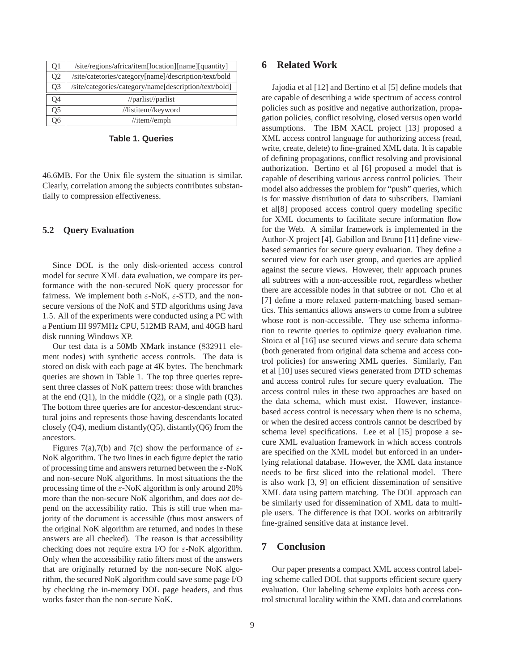| Q1             | /site/regions/africa/item[location][name][quantity]   |
|----------------|-------------------------------------------------------|
| O <sub>2</sub> | /site/catetories/category[name]/description/text/bold |
| O <sub>3</sub> | /site/categories/category/name[description/text/bold] |
| Q4             | //parlist//parlist                                    |
| Q <sub>5</sub> | //listitem//keyword                                   |
| 06             | //item/emph                                           |

**Table 1. Queries**

46.6MB. For the Unix file system the situation is similar. Clearly, correlation among the subjects contributes substantially to compression effectiveness.

### **5.2 Query Evaluation**

Since DOL is the only disk-oriented access control model for secure XML data evaluation, we compare its performance with the non-secured NoK query processor for fairness. We implement both  $\varepsilon$ -NoK,  $\varepsilon$ -STD, and the nonsecure versions of the NoK and STD algorithms using Java 1.5. All of the experiments were conducted using a PC with a Pentium III 997MHz CPU, 512MB RAM, and 40GB hard disk running Windows XP.

Our test data is a 50Mb XMark instance (832911 element nodes) with synthetic access controls. The data is stored on disk with each page at 4K bytes. The benchmark queries are shown in Table 1. The top three queries represent three classes of NoK pattern trees: those with branches at the end  $(Q1)$ , in the middle  $(Q2)$ , or a single path  $(Q3)$ . The bottom three queries are for ancestor-descendant structural joins and represents those having descendants located closely  $(Q4)$ , medium distantly $(Q5)$ , distantly $(Q6)$  from the ancestors.

Figures 7(a),7(b) and 7(c) show the performance of  $\varepsilon$ -NoK algorithm. The two lines in each figure depict the ratio of processing time and answers returned between the  $\varepsilon$ -NoK and non-secure NoK algorithms. In most situations the the processing time of the  $\varepsilon$ -NoK algorithm is only around 20% more than the non-secure NoK algorithm, and does *not* depend on the accessibility ratio. This is still true when majority of the document is accessible (thus most answers of the original NoK algorithm are returned, and nodes in these answers are all checked). The reason is that accessibility checking does not require extra I/O for  $\varepsilon$ -NoK algorithm. Only when the accessibility ratio filters most of the answers that are originally returned by the non-secure NoK algorithm, the secured NoK algorithm could save some page I/O by checking the in-memory DOL page headers, and thus works faster than the non-secure NoK.

# **6 Related Work**

Jajodia et al [12] and Bertino et al [5] define models that are capable of describing a wide spectrum of access control policies such as positive and negative authorization, propagation policies, conflict resolving, closed versus open world assumptions. The IBM XACL project [13] proposed a XML access control language for authorizing access (read, write, create, delete) to fine-grained XML data. It is capable of defining propagations, conflict resolving and provisional authorization. Bertino et al [6] proposed a model that is capable of describing various access control policies. Their model also addresses the problem for "push" queries, which is for massive distribution of data to subscribers. Damiani et al[8] proposed access control query modeling specific for XML documents to facilitate secure information flow for the Web. A similar framework is implemented in the Author-X project [4]. Gabillon and Bruno [11] define viewbased semantics for secure query evaluation. They define a secured view for each user group, and queries are applied against the secure views. However, their approach prunes all subtrees with a non-accessible root, regardless whether there are accessible nodes in that subtree or not. Cho et al [7] define a more relaxed pattern-matching based semantics. This semantics allows answers to come from a subtree whose root is non-accessible. They use schema information to rewrite queries to optimize query evaluation time. Stoica et al [16] use secured views and secure data schema (both generated from original data schema and access control policies) for answering XML queries. Similarly, Fan et al [10] uses secured views generated from DTD schemas and access control rules for secure query evaluation. The access control rules in these two approaches are based on the data schema, which must exist. However, instancebased access control is necessary when there is no schema, or when the desired access controls cannot be described by schema level specifications. Lee et al [15] propose a secure XML evaluation framework in which access controls are specified on the XML model but enforced in an underlying relational database. However, the XML data instance needs to be first sliced into the relational model. There is also work [3, 9] on efficient dissemination of sensitive XML data using pattern matching. The DOL approach can be similarly used for dissemination of XML data to multiple users. The difference is that DOL works on arbitrarily fine-grained sensitive data at instance level.

### **7 Conclusion**

Our paper presents a compact XML access control labeling scheme called DOL that supports efficient secure query evaluation. Our labeling scheme exploits both access control structural locality within the XML data and correlations